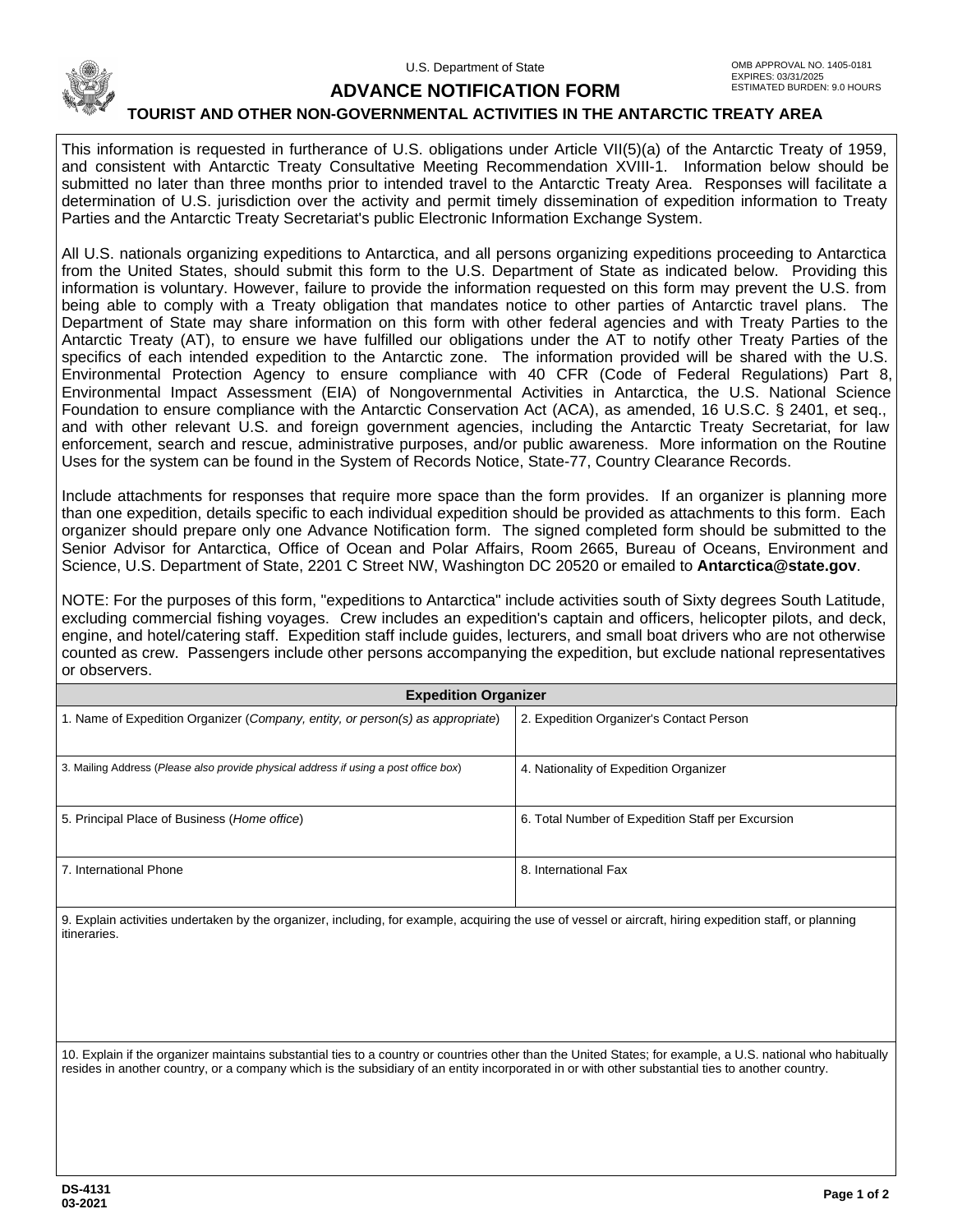

## **ADVANCE NOTIFICATION FORM**

## **TOURIST AND OTHER NON-GOVERNMENTAL ACTIVITIES IN THE ANTARCTIC TREATY AREA**

This information is requested in furtherance of U.S. obligations under Article VII(5)(a) of the Antarctic Treaty of 1959, and consistent with Antarctic Treaty Consultative Meeting Recommendation XVIII-1. Information below should be submitted no later than three months prior to intended travel to the Antarctic Treaty Area. Responses will facilitate a determination of U.S. jurisdiction over the activity and permit timely dissemination of expedition information to Treaty Parties and the Antarctic Treaty Secretariat's public Electronic Information Exchange System.

All U.S. nationals organizing expeditions to Antarctica, and all persons organizing expeditions proceeding to Antarctica from the United States, should submit this form to the U.S. Department of State as indicated below. Providing this information is voluntary. However, failure to provide the information requested on this form may prevent the U.S. from being able to comply with a Treaty obligation that mandates notice to other parties of Antarctic travel plans. The Department of State may share information on this form with other federal agencies and with Treaty Parties to the Antarctic Treaty (AT), to ensure we have fulfilled our obligations under the AT to notify other Treaty Parties of the specifics of each intended expedition to the Antarctic zone. The information provided will be shared with the U.S. Environmental Protection Agency to ensure compliance with 40 CFR (Code of Federal Regulations) Part 8, Environmental Impact Assessment (EIA) of Nongovernmental Activities in Antarctica, the U.S. National Science Foundation to ensure compliance with the Antarctic Conservation Act (ACA), as amended, 16 U.S.C. § 2401, et seq., and with other relevant U.S. and foreign government agencies, including the Antarctic Treaty Secretariat, for law enforcement, search and rescue, administrative purposes, and/or public awareness. More information on the Routine Uses for the system can be found in the System of Records Notice, State-77, Country Clearance Records.

Include attachments for responses that require more space than the form provides. If an organizer is planning more than one expedition, details specific to each individual expedition should be provided as attachments to this form. Each organizer should prepare only one Advance Notification form. The signed completed form should be submitted to the Senior Advisor for Antarctica, Office of Ocean and Polar Affairs, Room 2665, Bureau of Oceans, Environment and Science, U.S. Department of State, 2201 C Street NW, Washington DC 20520 or emailed to **Antarctica@state.gov**.

NOTE: For the purposes of this form, "expeditions to Antarctica" include activities south of Sixty degrees South Latitude, excluding commercial fishing voyages. Crew includes an expedition's captain and officers, helicopter pilots, and deck, engine, and hotel/catering staff. Expedition staff include guides, lecturers, and small boat drivers who are not otherwise counted as crew. Passengers include other persons accompanying the expedition, but exclude national representatives or observers.

| <b>Expedition Organizer</b>                                                          |                                                   |
|--------------------------------------------------------------------------------------|---------------------------------------------------|
| 1. Name of Expedition Organizer (Company, entity, or person(s) as appropriate)       | 2. Expedition Organizer's Contact Person          |
|                                                                                      |                                                   |
| 3. Mailing Address (Please also provide physical address if using a post office box) | 4. Nationality of Expedition Organizer            |
|                                                                                      |                                                   |
| 5. Principal Place of Business (Home office)                                         | 6. Total Number of Expedition Staff per Excursion |
|                                                                                      |                                                   |
| 7. International Phone                                                               | 8. International Fax                              |
|                                                                                      |                                                   |

9. Explain activities undertaken by the organizer, including, for example, acquiring the use of vessel or aircraft, hiring expedition staff, or planning itineraries.

10. Explain if the organizer maintains substantial ties to a country or countries other than the United States; for example, a U.S. national who habitually resides in another country, or a company which is the subsidiary of an entity incorporated in or with other substantial ties to another country.